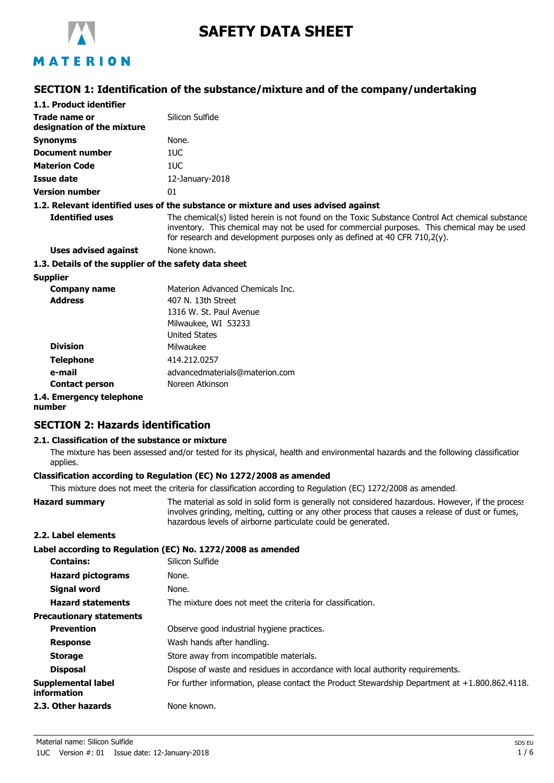

# **SAFETY DATA SHEET**

# MATERION

# **SECTION 1: Identification of the substance/mixture and of the company/undertaking**

| 1.1. Product identifier                               |                                                                                                                                                                                                                                                                                 |
|-------------------------------------------------------|---------------------------------------------------------------------------------------------------------------------------------------------------------------------------------------------------------------------------------------------------------------------------------|
| Trade name or<br>designation of the mixture           | Silicon Sulfide                                                                                                                                                                                                                                                                 |
| <b>Synonyms</b>                                       | None.                                                                                                                                                                                                                                                                           |
| Document number                                       | 1UC                                                                                                                                                                                                                                                                             |
| <b>Materion Code</b>                                  | 1UC                                                                                                                                                                                                                                                                             |
| <b>Issue date</b>                                     | 12-January-2018                                                                                                                                                                                                                                                                 |
| <b>Version number</b>                                 | 01                                                                                                                                                                                                                                                                              |
|                                                       | 1.2. Relevant identified uses of the substance or mixture and uses advised against                                                                                                                                                                                              |
| <b>Identified uses</b>                                | The chemical(s) listed herein is not found on the Toxic Substance Control Act chemical substance<br>inventory. This chemical may not be used for commercial purposes. This chemical may be used<br>for research and development purposes only as defined at 40 CFR $710,2(y)$ . |
| Uses advised against                                  | None known.                                                                                                                                                                                                                                                                     |
| 1.3. Details of the supplier of the safety data sheet |                                                                                                                                                                                                                                                                                 |
| <b>Supplier</b>                                       |                                                                                                                                                                                                                                                                                 |
| <b>Company name</b>                                   | Materion Advanced Chemicals Inc.                                                                                                                                                                                                                                                |
| <b>Address</b>                                        | 407 N. 13th Street                                                                                                                                                                                                                                                              |
|                                                       | 1316 W. St. Paul Avenue                                                                                                                                                                                                                                                         |
|                                                       | Milwaukee, WI 53233                                                                                                                                                                                                                                                             |
|                                                       | <b>United States</b>                                                                                                                                                                                                                                                            |
| <b>Division</b>                                       | Milwaukee                                                                                                                                                                                                                                                                       |
| <b>Telephone</b>                                      | 414.212.0257                                                                                                                                                                                                                                                                    |
| e-mail                                                | advancedmaterials@materion.com                                                                                                                                                                                                                                                  |
| <b>Contact person</b>                                 | Noreen Atkinson                                                                                                                                                                                                                                                                 |

# **1.4. Emergency telephone**

#### **number**

# **SECTION 2: Hazards identification**

### **2.1. Classification of the substance or mixture**

The mixture has been assessed and/or tested for its physical, health and environmental hazards and the following classification applies.

# **Classification according to Regulation (EC) No 1272/2008 as amended**

This mixture does not meet the criteria for classification according to Regulation (EC) 1272/2008 as amended.

| <b>Hazard summary</b> | The material as sold in solid form is generally not considered hazardous. However, if the process |
|-----------------------|---------------------------------------------------------------------------------------------------|
|                       | involves grinding, melting, cutting or any other process that causes a release of dust or fumes,  |
|                       | hazardous levels of airborne particulate could be generated.                                      |

### **2.2. Label elements**

|                                          | Label according to Regulation (EC) No. 1272/2008 as amended                                       |
|------------------------------------------|---------------------------------------------------------------------------------------------------|
| <b>Contains:</b>                         | Silicon Sulfide                                                                                   |
| <b>Hazard pictograms</b>                 | None.                                                                                             |
| <b>Signal word</b>                       | None.                                                                                             |
| <b>Hazard statements</b>                 | The mixture does not meet the criteria for classification.                                        |
| <b>Precautionary statements</b>          |                                                                                                   |
| <b>Prevention</b>                        | Observe good industrial hygiene practices.                                                        |
| <b>Response</b>                          | Wash hands after handling.                                                                        |
| <b>Storage</b>                           | Store away from incompatible materials.                                                           |
| <b>Disposal</b>                          | Dispose of waste and residues in accordance with local authority requirements.                    |
| Supplemental label<br><b>information</b> | For further information, please contact the Product Stewardship Department at $+1.800.862.4118$ . |
| 2.3. Other hazards                       | None known.                                                                                       |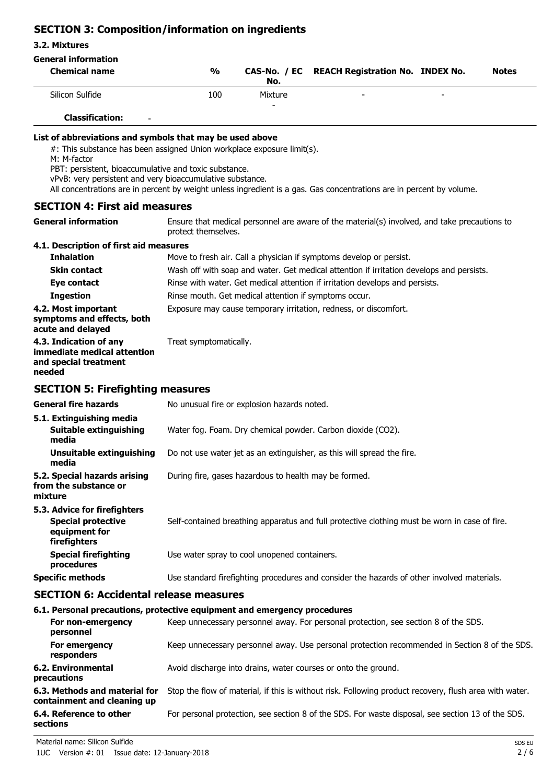# **SECTION 3: Composition/information on ingredients**

#### **3.2. Mixtures**

# **General information**

| <b>Chemical name</b> | $\frac{0}{0}$ | No.          | CAS-No. / EC REACH Registration No. INDEX No. |                          | <b>Notes</b> |
|----------------------|---------------|--------------|-----------------------------------------------|--------------------------|--------------|
| Silicon Sulfide      | 100           | Mixture<br>- | $\overline{\phantom{0}}$                      | $\overline{\phantom{a}}$ |              |

# **Classification:** -

### **List of abbreviations and symbols that may be used above**

#: This substance has been assigned Union workplace exposure limit(s).

M: M-factor

PBT: persistent, bioaccumulative and toxic substance.

vPvB: very persistent and very bioaccumulative substance.

All concentrations are in percent by weight unless ingredient is a gas. Gas concentrations are in percent by volume.

### **SECTION 4: First aid measures**

| <b>General information</b>                                                               | Ensure that medical personnel are aware of the material(s) involved, and take precautions to<br>protect themselves. |
|------------------------------------------------------------------------------------------|---------------------------------------------------------------------------------------------------------------------|
| 4.1. Description of first aid measures                                                   |                                                                                                                     |
| <b>Inhalation</b>                                                                        | Move to fresh air. Call a physician if symptoms develop or persist.                                                 |
| <b>Skin contact</b>                                                                      | Wash off with soap and water. Get medical attention if irritation develops and persists.                            |
| Eye contact                                                                              | Rinse with water. Get medical attention if irritation develops and persists.                                        |
| <b>Ingestion</b>                                                                         | Rinse mouth. Get medical attention if symptoms occur.                                                               |
| 4.2. Most important<br>symptoms and effects, both<br>acute and delayed                   | Exposure may cause temporary irritation, redness, or discomfort.                                                    |
| 4.3. Indication of any<br>immediate medical attention<br>and special treatment<br>needed | Treat symptomatically.                                                                                              |
| <b>SECTION 5: Firefighting measures</b>                                                  |                                                                                                                     |
| <b>General fire hazards</b>                                                              | No unusual fire or explosion hazards noted.                                                                         |
| 5.1. Extinguishing media                                                                 |                                                                                                                     |
| <b>Suitable extinguishing</b><br>media                                                   | Water fog. Foam. Dry chemical powder. Carbon dioxide (CO2).                                                         |
| <b>Unsuitable extinguishing</b><br>media                                                 | Do not use water jet as an extinguisher, as this will spread the fire.                                              |
| 5.2. Special hazards arising<br>from the substance or<br>mixture                         | During fire, gases hazardous to health may be formed.                                                               |
| 5.3. Advice for firefighters                                                             |                                                                                                                     |
| <b>Special protective</b><br>equipment for<br>firefighters                               | Self-contained breathing apparatus and full protective clothing must be worn in case of fire.                       |
| <b>Special firefighting</b><br>procedures                                                | Use water spray to cool unopened containers.                                                                        |
| <b>Specific methods</b>                                                                  | Use standard firefighting procedures and consider the hazards of other involved materials.                          |

### **SECTION 6: Accidental release measures**

#### **6.1. Personal precautions, protective equipment and emergency procedures**

| For non-emergency<br>personnel                               | Keep unnecessary personnel away. For personal protection, see section 8 of the SDS.                    |
|--------------------------------------------------------------|--------------------------------------------------------------------------------------------------------|
| For emergency<br>responders                                  | Keep unnecessary personnel away. Use personal protection recommended in Section 8 of the SDS.          |
| 6.2. Environmental<br>precautions                            | Avoid discharge into drains, water courses or onto the ground.                                         |
| 6.3. Methods and material for<br>containment and cleaning up | Stop the flow of material, if this is without risk. Following product recovery, flush area with water. |
| 6.4. Reference to other<br>sections                          | For personal protection, see section 8 of the SDS. For waste disposal, see section 13 of the SDS.      |

Material name: Silicon Sulfide SDS EU and SDS EU and SDS EU and SDS EU and SDS EU and SDS EU and SDS EU and SDS EU and SDS EU and SDS EU and SDS EU and SDS EU and SDS EU and SDS EU and SDS EU and SDS EU and SDS EU and SDS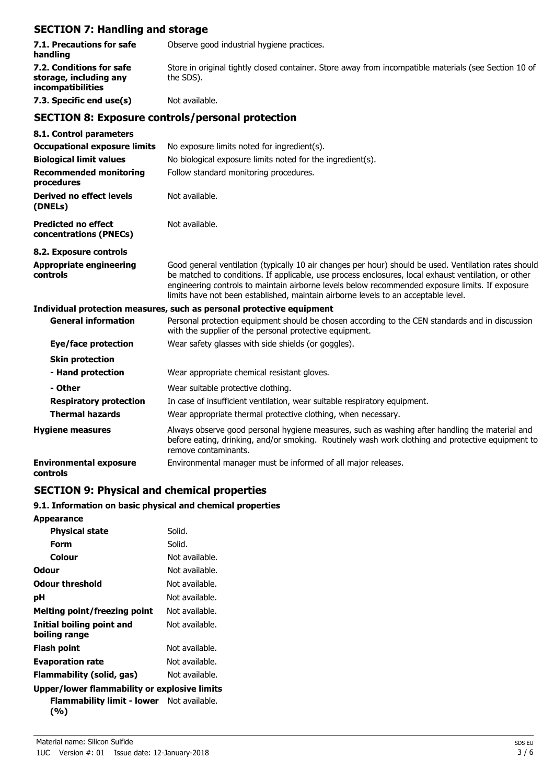# **SECTION 7: Handling and storage**

| 7.1. Precautions for safe<br>handling                                   | Observe good industrial hygiene practices.                                                                                                                                                                                                                                                                                                                                                             |
|-------------------------------------------------------------------------|--------------------------------------------------------------------------------------------------------------------------------------------------------------------------------------------------------------------------------------------------------------------------------------------------------------------------------------------------------------------------------------------------------|
| 7.2. Conditions for safe<br>storage, including any<br>incompatibilities | Store in original tightly closed container. Store away from incompatible materials (see Section 10 of<br>the SDS).                                                                                                                                                                                                                                                                                     |
| 7.3. Specific end use(s)                                                | Not available.                                                                                                                                                                                                                                                                                                                                                                                         |
|                                                                         | <b>SECTION 8: Exposure controls/personal protection</b>                                                                                                                                                                                                                                                                                                                                                |
| 8.1. Control parameters                                                 |                                                                                                                                                                                                                                                                                                                                                                                                        |
| <b>Occupational exposure limits</b>                                     | No exposure limits noted for ingredient(s).                                                                                                                                                                                                                                                                                                                                                            |
| <b>Biological limit values</b>                                          | No biological exposure limits noted for the ingredient(s).                                                                                                                                                                                                                                                                                                                                             |
| <b>Recommended monitoring</b><br>procedures                             | Follow standard monitoring procedures.                                                                                                                                                                                                                                                                                                                                                                 |
| <b>Derived no effect levels</b><br>(DNELs)                              | Not available.                                                                                                                                                                                                                                                                                                                                                                                         |
| <b>Predicted no effect</b><br>concentrations (PNECs)                    | Not available.                                                                                                                                                                                                                                                                                                                                                                                         |
| 8.2. Exposure controls                                                  |                                                                                                                                                                                                                                                                                                                                                                                                        |
| <b>Appropriate engineering</b><br>controls                              | Good general ventilation (typically 10 air changes per hour) should be used. Ventilation rates should<br>be matched to conditions. If applicable, use process enclosures, local exhaust ventilation, or other<br>engineering controls to maintain airborne levels below recommended exposure limits. If exposure<br>limits have not been established, maintain airborne levels to an acceptable level. |
|                                                                         | Individual protection measures, such as personal protective equipment                                                                                                                                                                                                                                                                                                                                  |
| <b>General information</b>                                              | Personal protection equipment should be chosen according to the CEN standards and in discussion<br>with the supplier of the personal protective equipment.                                                                                                                                                                                                                                             |
| <b>Eye/face protection</b>                                              | Wear safety glasses with side shields (or goggles).                                                                                                                                                                                                                                                                                                                                                    |
| <b>Skin protection</b>                                                  |                                                                                                                                                                                                                                                                                                                                                                                                        |
| - Hand protection                                                       | Wear appropriate chemical resistant gloves.                                                                                                                                                                                                                                                                                                                                                            |
| - Other                                                                 | Wear suitable protective clothing.                                                                                                                                                                                                                                                                                                                                                                     |
| <b>Respiratory protection</b>                                           | In case of insufficient ventilation, wear suitable respiratory equipment.                                                                                                                                                                                                                                                                                                                              |
| <b>Thermal hazards</b>                                                  | Wear appropriate thermal protective clothing, when necessary.                                                                                                                                                                                                                                                                                                                                          |
| <b>Hygiene measures</b>                                                 | Always observe good personal hygiene measures, such as washing after handling the material and<br>before eating, drinking, and/or smoking. Routinely wash work clothing and protective equipment to<br>remove contaminants.                                                                                                                                                                            |
| <b>Environmental exposure</b><br>controls                               | Environmental manager must be informed of all major releases.                                                                                                                                                                                                                                                                                                                                          |

# **SECTION 9: Physical and chemical properties**

# **9.1. Information on basic physical and chemical properties**

| <b>Appearance</b>                                         |                |
|-----------------------------------------------------------|----------------|
| <b>Physical state</b>                                     | Solid.         |
| Form                                                      | Solid.         |
| Colour                                                    | Not available. |
| Odour                                                     | Not available. |
| Odour threshold                                           | Not available. |
| рH                                                        | Not available. |
| <b>Melting point/freezing point</b>                       | Not available. |
| <b>Initial boiling point and</b><br>boiling range         | Not available. |
| <b>Flash point</b>                                        | Not available. |
| <b>Evaporation rate</b>                                   | Not available. |
| Flammability (solid, gas)                                 | Not available. |
| Upper/lower flammability or explosive limits              |                |
| <b>Flammability limit - lower</b> Not available.<br>(9/0) |                |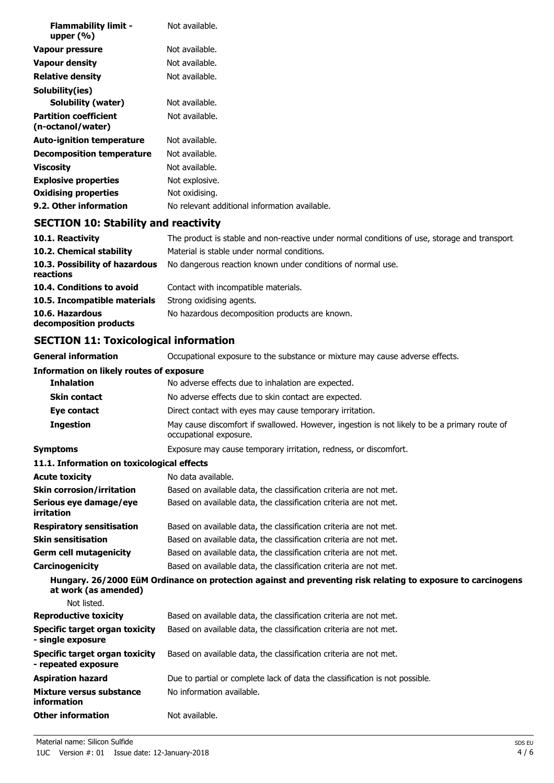| <b>Flammability limit -</b><br>upper $(\% )$      | Not available.                                |
|---------------------------------------------------|-----------------------------------------------|
| Vapour pressure                                   | Not available.                                |
| Vapour density                                    | Not available.                                |
| <b>Relative density</b>                           | Not available.                                |
| Solubility(ies)                                   |                                               |
| Solubility (water)                                | Not available.                                |
| <b>Partition coefficient</b><br>(n-octanol/water) | Not available.                                |
| <b>Auto-ignition temperature</b>                  | Not available.                                |
| Decomposition temperature                         | Not available.                                |
| <b>Viscosity</b>                                  | Not available.                                |
| <b>Explosive properties</b>                       | Not explosive.                                |
| <b>Oxidising properties</b>                       | Not oxidising.                                |
| 9.2. Other information                            | No relevant additional information available. |

# **SECTION 10: Stability and reactivity**

| 10.1. Reactivity                            | The product is stable and non-reactive under normal conditions of use, storage and transport |
|---------------------------------------------|----------------------------------------------------------------------------------------------|
| 10.2. Chemical stability                    | Material is stable under normal conditions.                                                  |
| 10.3. Possibility of hazardous<br>reactions | No dangerous reaction known under conditions of normal use.                                  |
| 10.4. Conditions to avoid                   | Contact with incompatible materials.                                                         |
| 10.5. Incompatible materials                | Strong oxidising agents.                                                                     |
| 10.6. Hazardous<br>decomposition products   | No hazardous decomposition products are known.                                               |

# **SECTION 11: Toxicological information**

**General information CCCUPATION** Occupational exposure to the substance or mixture may cause adverse effects.

| <b>Information on likely routes of exposure</b>              |                                                                                                                        |  |  |
|--------------------------------------------------------------|------------------------------------------------------------------------------------------------------------------------|--|--|
| <b>Inhalation</b>                                            | No adverse effects due to inhalation are expected.                                                                     |  |  |
| <b>Skin contact</b>                                          | No adverse effects due to skin contact are expected.                                                                   |  |  |
| Eye contact                                                  | Direct contact with eyes may cause temporary irritation.                                                               |  |  |
| <b>Ingestion</b>                                             | May cause discomfort if swallowed. However, ingestion is not likely to be a primary route of<br>occupational exposure. |  |  |
| <b>Symptoms</b>                                              | Exposure may cause temporary irritation, redness, or discomfort.                                                       |  |  |
| 11.1. Information on toxicological effects                   |                                                                                                                        |  |  |
| <b>Acute toxicity</b>                                        | No data available.                                                                                                     |  |  |
| <b>Skin corrosion/irritation</b>                             | Based on available data, the classification criteria are not met.                                                      |  |  |
| Serious eye damage/eye<br>irritation                         | Based on available data, the classification criteria are not met.                                                      |  |  |
| <b>Respiratory sensitisation</b>                             | Based on available data, the classification criteria are not met.                                                      |  |  |
| <b>Skin sensitisation</b>                                    | Based on available data, the classification criteria are not met.                                                      |  |  |
| <b>Germ cell mutagenicity</b>                                | Based on available data, the classification criteria are not met.                                                      |  |  |
| Carcinogenicity                                              | Based on available data, the classification criteria are not met.                                                      |  |  |
| at work (as amended)                                         | Hungary. 26/2000 EüM Ordinance on protection against and preventing risk relating to exposure to carcinogens           |  |  |
| Not listed.                                                  |                                                                                                                        |  |  |
| <b>Reproductive toxicity</b>                                 | Based on available data, the classification criteria are not met.                                                      |  |  |
| Specific target organ toxicity<br>- single exposure          | Based on available data, the classification criteria are not met.                                                      |  |  |
| <b>Specific target organ toxicity</b><br>- repeated exposure | Based on available data, the classification criteria are not met.                                                      |  |  |
| <b>Aspiration hazard</b>                                     | Due to partial or complete lack of data the classification is not possible.                                            |  |  |
| Mixture versus substance<br>information                      | No information available.                                                                                              |  |  |
| <b>Other information</b>                                     | Not available.                                                                                                         |  |  |
|                                                              |                                                                                                                        |  |  |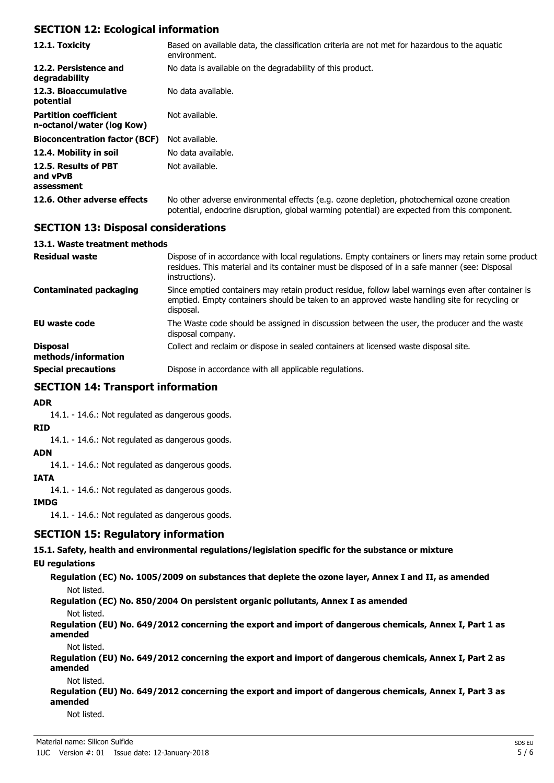### **SECTION 12: Ecological information**

| 12.1. Toxicity                                            | Based on available data, the classification criteria are not met for hazardous to the aquatic<br>environment.                                                                              |
|-----------------------------------------------------------|--------------------------------------------------------------------------------------------------------------------------------------------------------------------------------------------|
| 12.2. Persistence and<br>degradability                    | No data is available on the degradability of this product.                                                                                                                                 |
| 12.3. Bioaccumulative<br>potential                        | No data available.                                                                                                                                                                         |
| <b>Partition coefficient</b><br>n-octanol/water (log Kow) | Not available.                                                                                                                                                                             |
| <b>Bioconcentration factor (BCF)</b>                      | Not available.                                                                                                                                                                             |
| 12.4. Mobility in soil                                    | No data available.                                                                                                                                                                         |
| 12.5. Results of PBT<br>and vPvB<br>assessment            | Not available.                                                                                                                                                                             |
| 12.6. Other adverse effects                               | No other adverse environmental effects (e.g. ozone depletion, photochemical ozone creation<br>potential, endocrine disruption, global warming potential) are expected from this component. |

### **SECTION 13: Disposal considerations**

#### **13.1. Waste treatment methods**

| <b>Residual waste</b>                  | Dispose of in accordance with local regulations. Empty containers or liners may retain some product<br>residues. This material and its container must be disposed of in a safe manner (see: Disposal<br>instructions). |
|----------------------------------------|------------------------------------------------------------------------------------------------------------------------------------------------------------------------------------------------------------------------|
| Contaminated packaging                 | Since emptied containers may retain product residue, follow label warnings even after container is<br>emptied. Empty containers should be taken to an approved waste handling site for recycling or<br>disposal.       |
| <b>EU waste code</b>                   | The Waste code should be assigned in discussion between the user, the producer and the waste<br>disposal company.                                                                                                      |
| <b>Disposal</b><br>methods/information | Collect and reclaim or dispose in sealed containers at licensed waste disposal site.                                                                                                                                   |
| <b>Special precautions</b>             | Dispose in accordance with all applicable regulations.                                                                                                                                                                 |

## **SECTION 14: Transport information**

**ADR**

14.1. - 14.6.: Not regulated as dangerous goods.

**RID**

14.1. - 14.6.: Not regulated as dangerous goods.

**ADN**

14.1. - 14.6.: Not regulated as dangerous goods.

### **IATA**

14.1. - 14.6.: Not regulated as dangerous goods.

**IMDG**

14.1. - 14.6.: Not regulated as dangerous goods.

### **SECTION 15: Regulatory information**

**15.1. Safety, health and environmental regulations/legislation specific for the substance or mixture**

#### **EU regulations**

**Regulation (EC) No. 1005/2009 on substances that deplete the ozone layer, Annex I and II, as amended** Not listed.

**Regulation (EC) No. 850/2004 On persistent organic pollutants, Annex I as amended**

Not listed.

**Regulation (EU) No. 649/2012 concerning the export and import of dangerous chemicals, Annex I, Part 1 as amended**

Not listed.

**Regulation (EU) No. 649/2012 concerning the export and import of dangerous chemicals, Annex I, Part 2 as amended**

Not listed.

**Regulation (EU) No. 649/2012 concerning the export and import of dangerous chemicals, Annex I, Part 3 as amended**

Not listed.